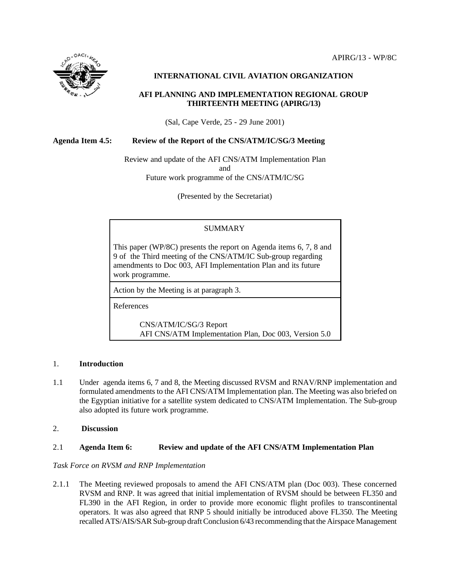

# **INTERNATIONAL CIVIL AVIATION ORGANIZATION**

### **AFI PLANNING AND IMPLEMENTATION REGIONAL GROUP THIRTEENTH MEETING (APIRG/13)**

(Sal, Cape Verde, 25 - 29 June 2001)

### **Agenda Item 4.5: Review of the Report of the CNS/ATM/IC/SG/3 Meeting**

Review and update of the AFI CNS/ATM Implementation Plan and Future work programme of the CNS/ATM/IC/SG

(Presented by the Secretariat)

# **SUMMARY**

This paper (WP/8C) presents the report on Agenda items 6, 7, 8 and 9 of the Third meeting of the CNS/ATM/IC Sub-group regarding amendments to Doc 003, AFI Implementation Plan and its future work programme.

Action by the Meeting is at paragraph 3.

References

CNS/ATM/IC/SG/3 Report AFI CNS/ATM Implementation Plan, Doc 003, Version 5.0

### 1. **Introduction**

- 1.1 Under agenda items 6, 7 and 8, the Meeting discussed RVSM and RNAV/RNP implementation and formulated amendments to the AFI CNS/ATM Implementation plan. The Meeting was also briefed on the Egyptian initiative for a satellite system dedicated to CNS/ATM Implementation. The Sub-group also adopted its future work programme.
- 2. **Discussion**

### 2.1 **Agenda Item 6: Review and update of the AFI CNS/ATM Implementation Plan**

### *Task Force on RVSM and RNP Implementation*

2.1.1 The Meeting reviewed proposals to amend the AFI CNS/ATM plan (Doc 003). These concerned RVSM and RNP. It was agreed that initial implementation of RVSM should be between FL350 and FL390 in the AFI Region, in order to provide more economic flight profiles to transcontinental operators. It was also agreed that RNP 5 should initially be introduced above FL350. The Meeting recalled ATS/AIS/SAR Sub-group draft Conclusion 6/43 recommending that the Airspace Management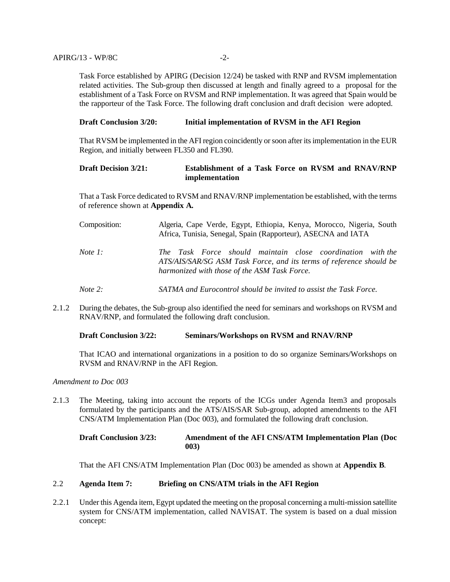Task Force established by APIRG (Decision 12/24) be tasked with RNP and RVSM implementation related activities. The Sub-group then discussed at length and finally agreed to a proposal for the establishment of a Task Force on RVSM and RNP implementation. It was agreed that Spain would be the rapporteur of the Task Force. The following draft conclusion and draft decision were adopted.

### **Draft Conclusion 3/20: Initial implementation of RVSM in the AFI Region**

That RVSM be implemented in the AFI region coincidently or soon after its implementation in the EUR Region, and initially between FL350 and FL390.

### **Draft Decision 3/21: Establishment of a Task Force on RVSM and RNAV/RNP implementation**

That a Task Force dedicated to RVSM and RNAV/RNP implementation be established, with the terms of reference shown at **Appendix A***.*

| Composition:      | Algeria, Cape Verde, Egypt, Ethiopia, Kenya, Morocco, Nigeria, South<br>Africa, Tunisia, Senegal, Spain (Rapporteur), ASECNA and IATA                                             |
|-------------------|-----------------------------------------------------------------------------------------------------------------------------------------------------------------------------------|
| <i>Note</i> 1:    | The Task Force should maintain close coordination with the<br>ATS/AIS/SAR/SG ASM Task Force, and its terms of reference should be<br>harmonized with those of the ASM Task Force. |
| <i>Note</i> $2$ : | SATMA and Eurocontrol should be invited to assist the Task Force.                                                                                                                 |

2.1.2 During the debates, the Sub-group also identified the need for seminars and workshops on RVSM and RNAV/RNP, and formulated the following draft conclusion.

### **Draft Conclusion 3/22: Seminars/Workshops on RVSM and RNAV/RNP**

That ICAO and international organizations in a position to do so organize Seminars/Workshops on RVSM and RNAV/RNP in the AFI Region.

*Amendment to Doc 003*

2.1.3 The Meeting, taking into account the reports of the ICGs under Agenda Item3 and proposals formulated by the participants and the ATS/AIS/SAR Sub-group, adopted amendments to the AFI CNS/ATM Implementation Plan (Doc 003), and formulated the following draft conclusion.

# **Draft Conclusion 3/23: Amendment of the AFI CNS/ATM Implementation Plan (Doc 003)**

That the AFI CNS/ATM Implementation Plan (Doc 003) be amended as shown at **Appendix B**.

### 2.2 **Agenda Item 7: Briefing on CNS/ATM trials in the AFI Region**

2.2.1 Under this Agenda item, Egypt updated the meeting on the proposal concerning a multi-mission satellite system for CNS/ATM implementation, called NAVISAT. The system is based on a dual mission concept: